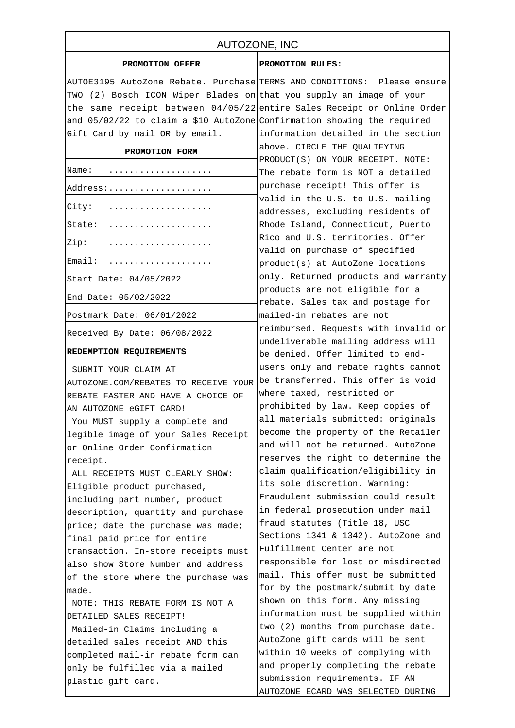| AUTOZONE, INC                                                             |                                                                          |
|---------------------------------------------------------------------------|--------------------------------------------------------------------------|
| PROMOTION OFFER                                                           | PROMOTION RULES:                                                         |
|                                                                           | AUTOE3195 AutoZone Rebate. Purchase TERMS AND CONDITIONS: Please ensure  |
| TWO (2) Bosch ICON Wiper Blades on that you supply an image of your       |                                                                          |
|                                                                           | the same receipt between $04/05/22$ entire Sales Receipt or Online Order |
| and $05/02/22$ to claim a \$10 AutoZone Confirmation showing the required |                                                                          |
| Gift Card by mail OR by email.                                            | information detailed in the section                                      |
| PROMOTION FORM                                                            | above. CIRCLE THE QUALIFYING<br>PRODUCT(S) ON YOUR RECEIPT. NOTE:        |
| Name:                                                                     | The rebate form is NOT a detailed                                        |
| Address:                                                                  | purchase receipt! This offer is                                          |
| City:                                                                     | valid in the U.S. to U.S. mailing<br>addresses, excluding residents of   |
| State:                                                                    | Rhode Island, Connecticut, Puerto                                        |
| Zip:                                                                      | Rico and U.S. territories. Offer<br>valid on purchase of specified       |
| Email:<br>.                                                               | product(s) at AutoZone locations                                         |
| Start Date: 04/05/2022                                                    | only. Returned products and warranty                                     |
| End Date: 05/02/2022                                                      | products are not eligible for a<br>rebate. Sales tax and postage for     |
| Postmark Date: 06/01/2022                                                 | mailed-in rebates are not                                                |
| Received By Date: 06/08/2022                                              | reimbursed. Requests with invalid or                                     |
| REDEMPTION REQUIREMENTS                                                   | undeliverable mailing address will<br>be denied. Offer limited to end-   |
| SUBMIT YOUR CLAIM AT                                                      | users only and rebate rights cannot                                      |
| AUTOZONE.COM/REBATES TO RECEIVE YOUR                                      | be transferred. This offer is void                                       |
| REBATE FASTER AND HAVE A CHOICE OF                                        | where taxed, restricted or                                               |
| AN AUTOZONE eGIFT CARD!                                                   | prohibited by law. Keep copies of                                        |
| You MUST supply a complete and                                            | all materials submitted: originals                                       |
| legible image of your Sales Receipt                                       | become the property of the Retailer                                      |
| or Online Order Confirmation                                              | and will not be returned. AutoZone                                       |
| receipt.                                                                  | reserves the right to determine the                                      |
| ALL RECEIPTS MUST CLEARLY SHOW:                                           | claim qualification/eligibility in                                       |
| Eligible product purchased,                                               | its sole discretion. Warning:                                            |
| including part number, product                                            | Fraudulent submission could result                                       |
| description, quantity and purchase                                        | in federal prosecution under mail                                        |
| price; date the purchase was made;                                        | fraud statutes (Title 18, USC                                            |
| final paid price for entire                                               | Sections 1341 & 1342). AutoZone and                                      |
| transaction. In-store receipts must                                       | Fulfillment Center are not                                               |
| also show Store Number and address                                        | responsible for lost or misdirected                                      |
| of the store where the purchase was                                       | mail. This offer must be submitted                                       |
| made.                                                                     | for by the postmark/submit by date                                       |
| NOTE: THIS REBATE FORM IS NOT A                                           | shown on this form. Any missing                                          |
| DETAILED SALES RECEIPT!                                                   | information must be supplied within                                      |
| Mailed-in Claims including a                                              | two (2) months from purchase date.                                       |
| detailed sales receipt AND this                                           | AutoZone gift cards will be sent                                         |
| completed mail-in rebate form can                                         | within 10 weeks of complying with                                        |
| only be fulfilled via a mailed                                            | and properly completing the rebate                                       |
| plastic gift card.                                                        | submission requirements. IF AN                                           |
|                                                                           | AUTOZONE ECARD WAS SELECTED DURING                                       |